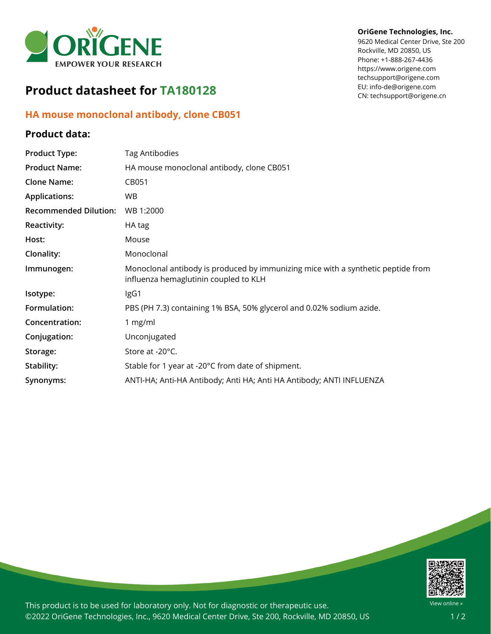

# **Product datasheet for TA180128**

## **HA mouse monoclonal antibody, clone CB051**

### **Product data:**

#### **OriGene Technologies, Inc.**

9620 Medical Center Drive, Ste 200 Rockville, MD 20850, US Phone: +1-888-267-4436 https://www.origene.com techsupport@origene.com EU: info-de@origene.com CN: techsupport@origene.cn

| <b>Product Type:</b>         | Tag Antibodies                                                                                                            |
|------------------------------|---------------------------------------------------------------------------------------------------------------------------|
| <b>Product Name:</b>         | HA mouse monoclonal antibody, clone CB051                                                                                 |
| <b>Clone Name:</b>           | CB051                                                                                                                     |
| <b>Applications:</b>         | WB.                                                                                                                       |
| <b>Recommended Dilution:</b> | WB 1:2000                                                                                                                 |
| <b>Reactivity:</b>           | HA tag                                                                                                                    |
| Host:                        | Mouse                                                                                                                     |
| Clonality:                   | Monoclonal                                                                                                                |
| Immunogen:                   | Monoclonal antibody is produced by immunizing mice with a synthetic peptide from<br>influenza hemaglutinin coupled to KLH |
| Isotype:                     | IgG1                                                                                                                      |
| Formulation:                 | PBS (PH 7.3) containing 1% BSA, 50% glycerol and 0.02% sodium azide.                                                      |
| Concentration:               | 1 $mg/ml$                                                                                                                 |
| Conjugation:                 | Unconjugated                                                                                                              |
| Storage:                     | Store at -20°C.                                                                                                           |
| Stability:                   | Stable for 1 year at -20°C from date of shipment.                                                                         |
| Synonyms:                    | ANTI-HA; Anti-HA Antibody; Anti HA; Anti HA Antibody; ANTI INFLUENZA                                                      |



This product is to be used for laboratory only. Not for diagnostic or therapeutic use. ©2022 OriGene Technologies, Inc., 9620 Medical Center Drive, Ste 200, Rockville, MD 20850, US